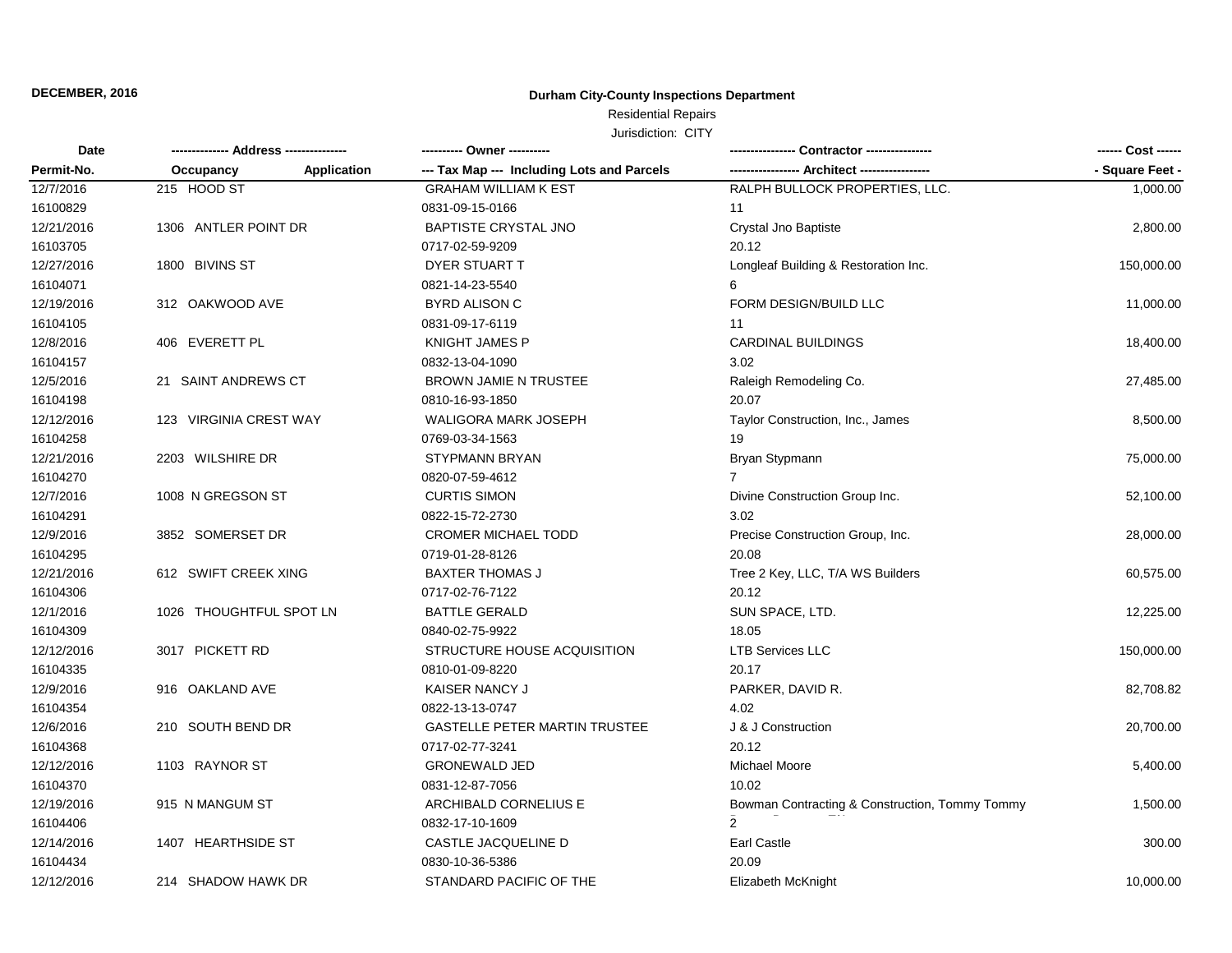## **Durham City-County Inspections Department**

Residential Repairs

| Date       |                         |             | ---------- Owner ----------                |                                                | ------ Cost ------ |
|------------|-------------------------|-------------|--------------------------------------------|------------------------------------------------|--------------------|
| Permit-No. | Occupancy               | Application | --- Tax Map --- Including Lots and Parcels | - Architect ---------                          | - Square Feet -    |
| 12/7/2016  | 215 HOOD ST             |             | <b>GRAHAM WILLIAM K EST</b>                | RALPH BULLOCK PROPERTIES, LLC.                 | 1,000.00           |
| 16100829   |                         |             | 0831-09-15-0166                            | 11                                             |                    |
| 12/21/2016 | 1306 ANTLER POINT DR    |             | <b>BAPTISTE CRYSTAL JNO</b>                | Crystal Jno Baptiste                           | 2,800.00           |
| 16103705   |                         |             | 0717-02-59-9209                            | 20.12                                          |                    |
| 12/27/2016 | 1800 BIVINS ST          |             | <b>DYER STUART T</b>                       | Longleaf Building & Restoration Inc.           | 150,000.00         |
| 16104071   |                         |             | 0821-14-23-5540                            | 6                                              |                    |
| 12/19/2016 | 312 OAKWOOD AVE         |             | <b>BYRD ALISON C</b>                       | FORM DESIGN/BUILD LLC                          | 11,000.00          |
| 16104105   |                         |             | 0831-09-17-6119                            | 11                                             |                    |
| 12/8/2016  | 406 EVERETT PL          |             | <b>KNIGHT JAMES P</b>                      | <b>CARDINAL BUILDINGS</b>                      | 18,400.00          |
| 16104157   |                         |             | 0832-13-04-1090                            | 3.02                                           |                    |
| 12/5/2016  | 21 SAINT ANDREWS CT     |             | <b>BROWN JAMIE N TRUSTEE</b>               | Raleigh Remodeling Co.                         | 27,485.00          |
| 16104198   |                         |             | 0810-16-93-1850                            | 20.07                                          |                    |
| 12/12/2016 | 123 VIRGINIA CREST WAY  |             | WALIGORA MARK JOSEPH                       | Taylor Construction, Inc., James               | 8,500.00           |
| 16104258   |                         |             | 0769-03-34-1563                            | 19                                             |                    |
| 12/21/2016 | 2203 WILSHIRE DR        |             | <b>STYPMANN BRYAN</b>                      | Bryan Stypmann                                 | 75,000.00          |
| 16104270   |                         |             | 0820-07-59-4612                            | 7                                              |                    |
| 12/7/2016  | 1008 N GREGSON ST       |             | <b>CURTIS SIMON</b>                        | Divine Construction Group Inc.                 | 52,100.00          |
| 16104291   |                         |             | 0822-15-72-2730                            | 3.02                                           |                    |
| 12/9/2016  | 3852 SOMERSET DR        |             | <b>CROMER MICHAEL TODD</b>                 | Precise Construction Group, Inc.               | 28,000.00          |
| 16104295   |                         |             | 0719-01-28-8126                            | 20.08                                          |                    |
| 12/21/2016 | 612 SWIFT CREEK XING    |             | <b>BAXTER THOMAS J</b>                     | Tree 2 Key, LLC, T/A WS Builders               | 60,575.00          |
| 16104306   |                         |             | 0717-02-76-7122                            | 20.12                                          |                    |
| 12/1/2016  | 1026 THOUGHTFUL SPOT LN |             | <b>BATTLE GERALD</b>                       | SUN SPACE, LTD.                                | 12,225.00          |
| 16104309   |                         |             | 0840-02-75-9922                            | 18.05                                          |                    |
| 12/12/2016 | 3017 PICKETT RD         |             | STRUCTURE HOUSE ACQUISITION                | <b>LTB Services LLC</b>                        | 150,000.00         |
| 16104335   |                         |             | 0810-01-09-8220                            | 20.17                                          |                    |
| 12/9/2016  | 916 OAKLAND AVE         |             | KAISER NANCY J                             | PARKER, DAVID R.                               | 82,708.82          |
| 16104354   |                         |             | 0822-13-13-0747                            | 4.02                                           |                    |
| 12/6/2016  | 210 SOUTH BEND DR       |             | <b>GASTELLE PETER MARTIN TRUSTEE</b>       | J & J Construction                             | 20,700.00          |
| 16104368   |                         |             | 0717-02-77-3241                            | 20.12                                          |                    |
| 12/12/2016 | 1103 RAYNOR ST          |             | <b>GRONEWALD JED</b>                       | Michael Moore                                  | 5,400.00           |
| 16104370   |                         |             | 0831-12-87-7056                            | 10.02                                          |                    |
| 12/19/2016 | 915 N MANGUM ST         |             | ARCHIBALD CORNELIUS E                      | Bowman Contracting & Construction, Tommy Tommy | 1,500.00           |
| 16104406   |                         |             | 0832-17-10-1609                            | $\overline{2}$                                 |                    |
| 12/14/2016 | 1407 HEARTHSIDE ST      |             | CASTLE JACQUELINE D                        | Earl Castle                                    | 300.00             |
| 16104434   |                         |             | 0830-10-36-5386                            | 20.09                                          |                    |
| 12/12/2016 | 214 SHADOW HAWK DR      |             | STANDARD PACIFIC OF THE                    | Elizabeth McKnight                             | 10,000.00          |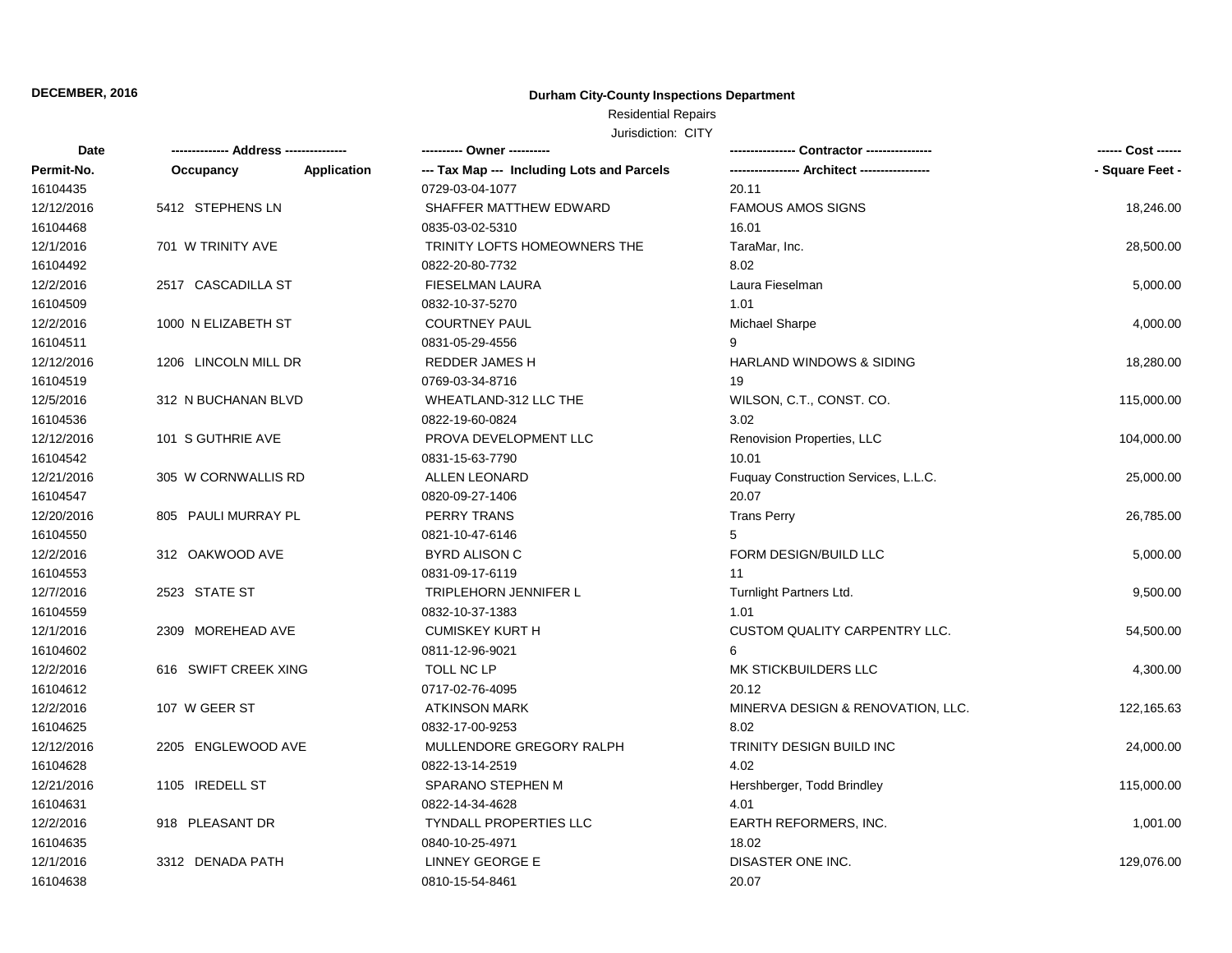## **Durham City-County Inspections Department**

## Residential Repairs

| Date       |                      |             |                                            |                                      |                 |
|------------|----------------------|-------------|--------------------------------------------|--------------------------------------|-----------------|
| Permit-No. | Occupancy            | Application | --- Tax Map --- Including Lots and Parcels |                                      | - Square Feet - |
| 16104435   |                      |             | 0729-03-04-1077                            | 20.11                                |                 |
| 12/12/2016 | 5412 STEPHENS LN     |             | SHAFFER MATTHEW EDWARD                     | <b>FAMOUS AMOS SIGNS</b>             | 18,246.00       |
| 16104468   |                      |             | 0835-03-02-5310                            | 16.01                                |                 |
| 12/1/2016  | 701 W TRINITY AVE    |             | TRINITY LOFTS HOMEOWNERS THE               | TaraMar, Inc.                        | 28,500.00       |
| 16104492   |                      |             | 0822-20-80-7732                            | 8.02                                 |                 |
| 12/2/2016  | 2517 CASCADILLA ST   |             | <b>FIESELMAN LAURA</b>                     | Laura Fieselman                      | 5,000.00        |
| 16104509   |                      |             | 0832-10-37-5270                            | 1.01                                 |                 |
| 12/2/2016  | 1000 N ELIZABETH ST  |             | <b>COURTNEY PAUL</b>                       | Michael Sharpe                       | 4,000.00        |
| 16104511   |                      |             | 0831-05-29-4556                            | 9                                    |                 |
| 12/12/2016 | 1206 LINCOLN MILL DR |             | <b>REDDER JAMES H</b>                      | <b>HARLAND WINDOWS &amp; SIDING</b>  | 18,280.00       |
| 16104519   |                      |             | 0769-03-34-8716                            | 19                                   |                 |
| 12/5/2016  | 312 N BUCHANAN BLVD  |             | WHEATLAND-312 LLC THE                      | WILSON, C.T., CONST. CO.             | 115,000.00      |
| 16104536   |                      |             | 0822-19-60-0824                            | 3.02                                 |                 |
| 12/12/2016 | 101 S GUTHRIE AVE    |             | PROVA DEVELOPMENT LLC                      | Renovision Properties, LLC           | 104,000.00      |
| 16104542   |                      |             | 0831-15-63-7790                            | 10.01                                |                 |
| 12/21/2016 | 305 W CORNWALLIS RD  |             | <b>ALLEN LEONARD</b>                       | Fuguay Construction Services, L.L.C. | 25,000.00       |
| 16104547   |                      |             | 0820-09-27-1406                            | 20.07                                |                 |
| 12/20/2016 | 805 PAULI MURRAY PL  |             | <b>PERRY TRANS</b>                         | <b>Trans Perry</b>                   | 26,785.00       |
| 16104550   |                      |             | 0821-10-47-6146                            | 5                                    |                 |
| 12/2/2016  | 312 OAKWOOD AVE      |             | <b>BYRD ALISON C</b>                       | FORM DESIGN/BUILD LLC                | 5,000.00        |
| 16104553   |                      |             | 0831-09-17-6119                            | 11                                   |                 |
| 12/7/2016  | 2523 STATE ST        |             | TRIPLEHORN JENNIFER L                      | Turnlight Partners Ltd.              | 9,500.00        |
| 16104559   |                      |             | 0832-10-37-1383                            | 1.01                                 |                 |
| 12/1/2016  | 2309 MOREHEAD AVE    |             | <b>CUMISKEY KURT H</b>                     | <b>CUSTOM QUALITY CARPENTRY LLC.</b> | 54,500.00       |
| 16104602   |                      |             | 0811-12-96-9021                            | 6                                    |                 |
| 12/2/2016  | 616 SWIFT CREEK XING |             | <b>TOLL NC LP</b>                          | MK STICKBUILDERS LLC                 | 4,300.00        |
| 16104612   |                      |             | 0717-02-76-4095                            | 20.12                                |                 |
| 12/2/2016  | 107 W GEER ST        |             | <b>ATKINSON MARK</b>                       | MINERVA DESIGN & RENOVATION, LLC.    | 122,165.63      |
| 16104625   |                      |             | 0832-17-00-9253                            | 8.02                                 |                 |
| 12/12/2016 | 2205 ENGLEWOOD AVE   |             | MULLENDORE GREGORY RALPH                   | TRINITY DESIGN BUILD INC             | 24,000.00       |
| 16104628   |                      |             | 0822-13-14-2519                            | 4.02                                 |                 |
| 12/21/2016 | 1105 IREDELL ST      |             | SPARANO STEPHEN M                          | Hershberger, Todd Brindley           | 115,000.00      |
| 16104631   |                      |             | 0822-14-34-4628                            | 4.01                                 |                 |
| 12/2/2016  | 918 PLEASANT DR      |             | <b>TYNDALL PROPERTIES LLC</b>              | EARTH REFORMERS, INC.                | 1,001.00        |
| 16104635   |                      |             | 0840-10-25-4971                            | 18.02                                |                 |
| 12/1/2016  | 3312 DENADA PATH     |             | LINNEY GEORGE E                            | DISASTER ONE INC.                    | 129,076.00      |
| 16104638   |                      |             | 0810-15-54-8461                            | 20.07                                |                 |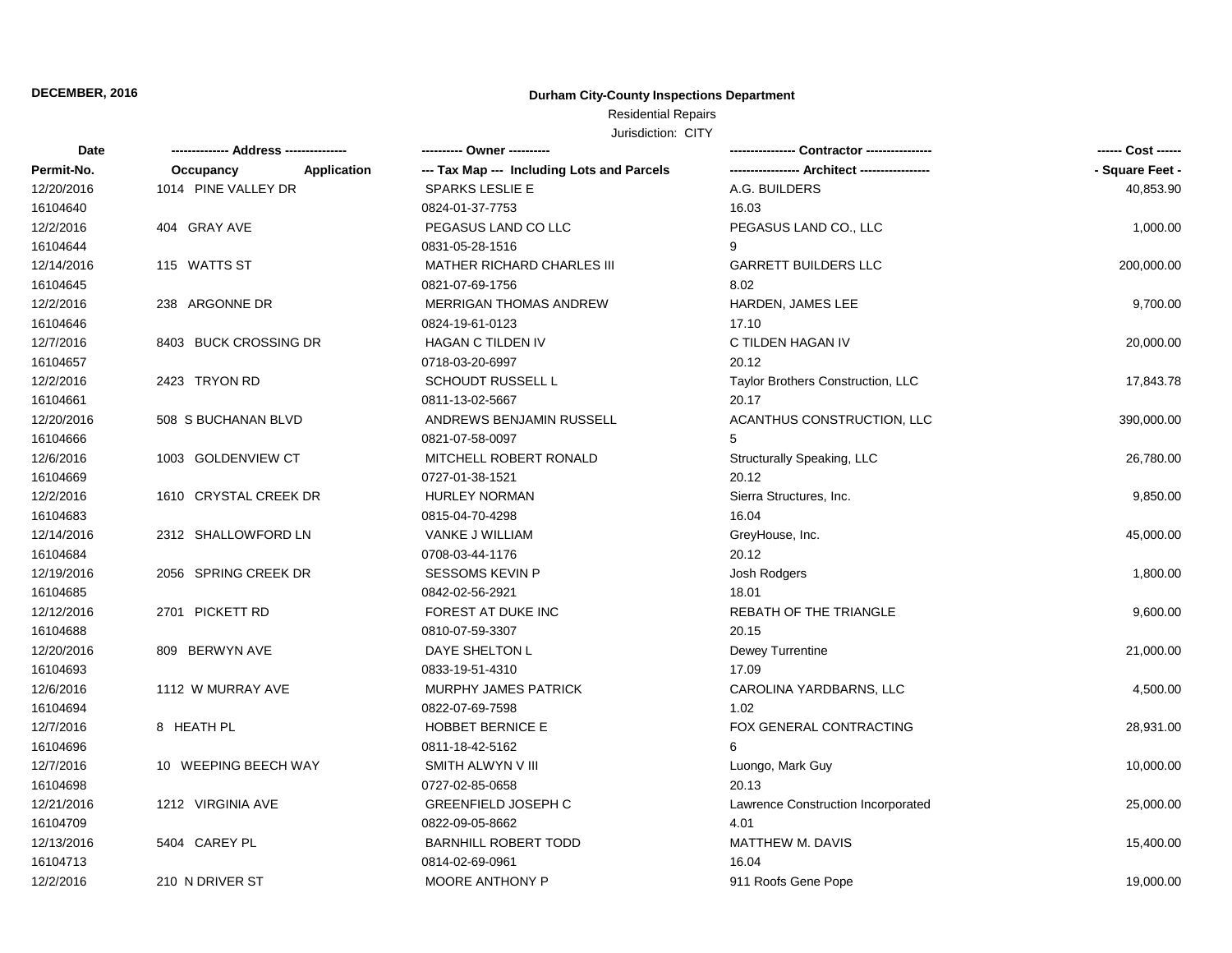## **Durham City-County Inspections Department**

# Residential Repairs

| Date       |                          |                                            |                                    |                 |  |
|------------|--------------------------|--------------------------------------------|------------------------------------|-----------------|--|
| Permit-No. | Application<br>Occupancy | --- Tax Map --- Including Lots and Parcels |                                    | - Square Feet - |  |
| 12/20/2016 | 1014 PINE VALLEY DR      | <b>SPARKS LESLIE E</b>                     | A.G. BUILDERS                      | 40,853.90       |  |
| 16104640   |                          | 0824-01-37-7753                            | 16.03                              |                 |  |
| 12/2/2016  | 404 GRAY AVE             | PEGASUS LAND CO LLC                        | PEGASUS LAND CO., LLC              | 1,000.00        |  |
| 16104644   |                          | 0831-05-28-1516                            | 9                                  |                 |  |
| 12/14/2016 | 115 WATTS ST             | <b>MATHER RICHARD CHARLES III</b>          | <b>GARRETT BUILDERS LLC</b>        | 200,000.00      |  |
| 16104645   |                          | 0821-07-69-1756                            | 8.02                               |                 |  |
| 12/2/2016  | 238 ARGONNE DR           | <b>MERRIGAN THOMAS ANDREW</b>              | <b>HARDEN, JAMES LEE</b>           | 9,700.00        |  |
| 16104646   |                          | 0824-19-61-0123                            | 17.10                              |                 |  |
| 12/7/2016  | 8403 BUCK CROSSING DR    | <b>HAGAN C TILDEN IV</b>                   | C TILDEN HAGAN IV                  | 20,000.00       |  |
| 16104657   |                          | 0718-03-20-6997                            | 20.12                              |                 |  |
| 12/2/2016  | 2423 TRYON RD            | <b>SCHOUDT RUSSELL L</b>                   | Taylor Brothers Construction, LLC  | 17,843.78       |  |
| 16104661   |                          | 0811-13-02-5667                            | 20.17                              |                 |  |
| 12/20/2016 | 508 S BUCHANAN BLVD      | ANDREWS BENJAMIN RUSSELL                   | ACANTHUS CONSTRUCTION, LLC         | 390,000.00      |  |
| 16104666   |                          | 0821-07-58-0097                            | 5                                  |                 |  |
| 12/6/2016  | 1003 GOLDENVIEW CT       | MITCHELL ROBERT RONALD                     | Structurally Speaking, LLC         | 26,780.00       |  |
| 16104669   |                          | 0727-01-38-1521                            | 20.12                              |                 |  |
| 12/2/2016  | 1610 CRYSTAL CREEK DR    | <b>HURLEY NORMAN</b>                       | Sierra Structures, Inc.            | 9,850.00        |  |
| 16104683   |                          | 0815-04-70-4298                            | 16.04                              |                 |  |
| 12/14/2016 | 2312 SHALLOWFORD LN      | VANKE J WILLIAM                            | GreyHouse, Inc.                    | 45,000.00       |  |
| 16104684   |                          | 0708-03-44-1176                            | 20.12                              |                 |  |
| 12/19/2016 | 2056 SPRING CREEK DR     | <b>SESSOMS KEVIN P</b>                     | Josh Rodgers                       | 1,800.00        |  |
| 16104685   |                          | 0842-02-56-2921                            | 18.01                              |                 |  |
| 12/12/2016 | 2701 PICKETT RD          | FOREST AT DUKE INC                         | <b>REBATH OF THE TRIANGLE</b>      | 9,600.00        |  |
| 16104688   |                          | 0810-07-59-3307                            | 20.15                              |                 |  |
| 12/20/2016 | 809 BERWYN AVE           | DAYE SHELTON L                             | Dewey Turrentine                   | 21,000.00       |  |
| 16104693   |                          | 0833-19-51-4310                            | 17.09                              |                 |  |
| 12/6/2016  | 1112 W MURRAY AVE        | <b>MURPHY JAMES PATRICK</b>                | CAROLINA YARDBARNS, LLC            | 4,500.00        |  |
| 16104694   |                          | 0822-07-69-7598                            | 1.02                               |                 |  |
| 12/7/2016  | 8 HEATH PL               | <b>HOBBET BERNICE E</b>                    | FOX GENERAL CONTRACTING            | 28,931.00       |  |
| 16104696   |                          | 0811-18-42-5162                            | 6                                  |                 |  |
| 12/7/2016  | 10 WEEPING BEECH WAY     | SMITH ALWYN V III                          | Luongo, Mark Guy                   | 10,000.00       |  |
| 16104698   |                          | 0727-02-85-0658                            | 20.13                              |                 |  |
| 12/21/2016 | 1212 VIRGINIA AVE        | <b>GREENFIELD JOSEPH C</b>                 | Lawrence Construction Incorporated | 25,000.00       |  |
| 16104709   |                          | 0822-09-05-8662                            | 4.01                               |                 |  |
| 12/13/2016 | 5404 CAREY PL            | <b>BARNHILL ROBERT TODD</b>                | MATTHEW M. DAVIS                   | 15,400.00       |  |
| 16104713   |                          | 0814-02-69-0961                            | 16.04                              |                 |  |
| 12/2/2016  | 210 N DRIVER ST          | <b>MOORE ANTHONY P</b>                     | 911 Roofs Gene Pope                | 19,000.00       |  |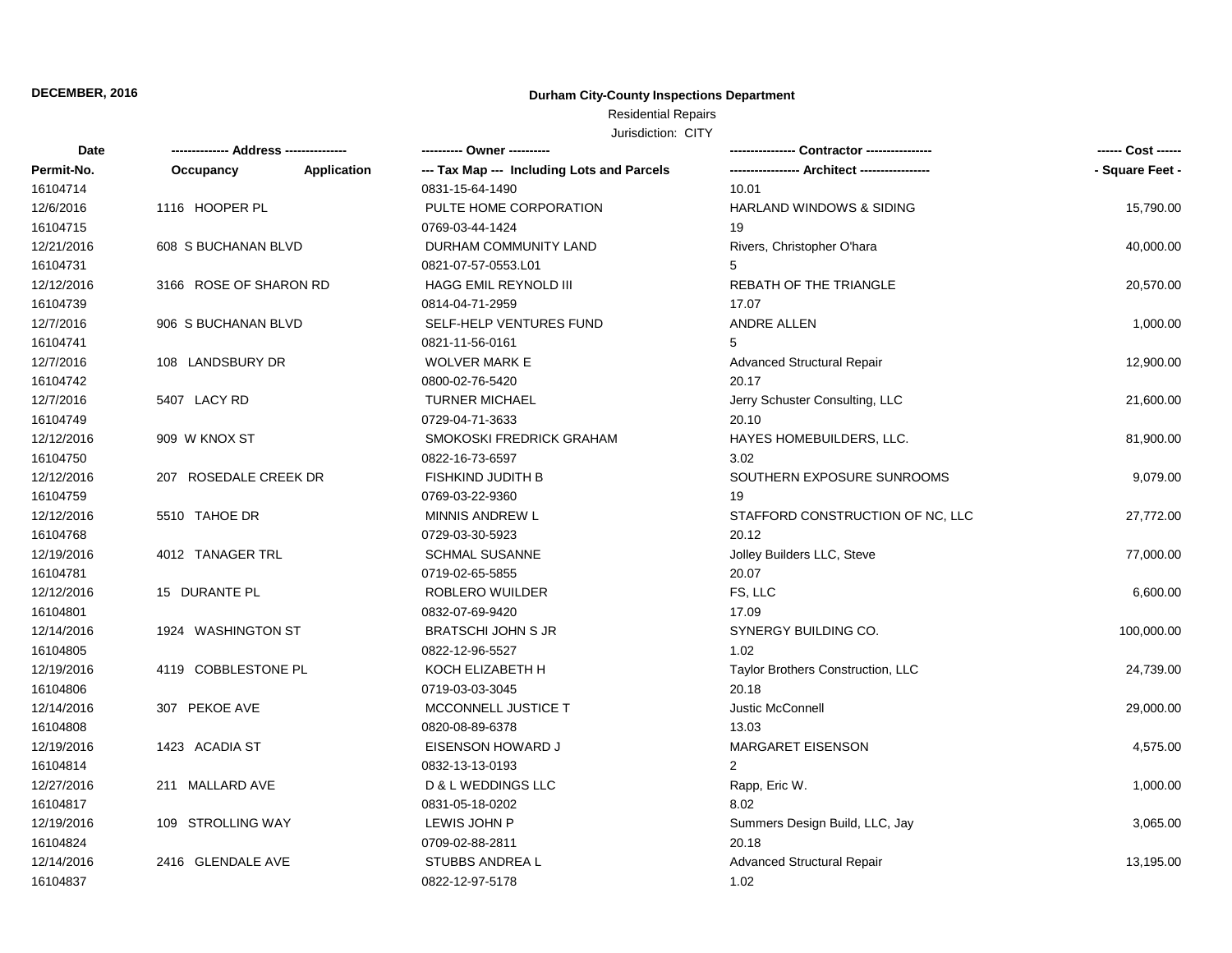## **Durham City-County Inspections Department**

# Residential Repairs

| Date       | ------------- Address -------------- |             | ---------- Owner ----------                |                                     | ------ Cost ------ |
|------------|--------------------------------------|-------------|--------------------------------------------|-------------------------------------|--------------------|
| Permit-No. | Occupancy                            | Application | --- Tax Map --- Including Lots and Parcels | -- Architect ------------           | - Square Feet -    |
| 16104714   |                                      |             | 0831-15-64-1490                            | 10.01                               |                    |
| 12/6/2016  | 1116 HOOPER PL                       |             | PULTE HOME CORPORATION                     | <b>HARLAND WINDOWS &amp; SIDING</b> | 15,790.00          |
| 16104715   |                                      |             | 0769-03-44-1424                            | 19                                  |                    |
| 12/21/2016 | 608 S BUCHANAN BLVD                  |             | DURHAM COMMUNITY LAND                      | Rivers, Christopher O'hara          | 40,000.00          |
| 16104731   |                                      |             | 0821-07-57-0553.L01                        | 5                                   |                    |
| 12/12/2016 | 3166 ROSE OF SHARON RD               |             | <b>HAGG EMIL REYNOLD III</b>               | REBATH OF THE TRIANGLE              | 20,570.00          |
| 16104739   |                                      |             | 0814-04-71-2959                            | 17.07                               |                    |
| 12/7/2016  | 906 S BUCHANAN BLVD                  |             | SELF-HELP VENTURES FUND                    | <b>ANDRE ALLEN</b>                  | 1,000.00           |
| 16104741   |                                      |             | 0821-11-56-0161                            | 5                                   |                    |
| 12/7/2016  | 108 LANDSBURY DR                     |             | <b>WOLVER MARK E</b>                       | <b>Advanced Structural Repair</b>   | 12,900.00          |
| 16104742   |                                      |             | 0800-02-76-5420                            | 20.17                               |                    |
| 12/7/2016  | 5407 LACY RD                         |             | <b>TURNER MICHAEL</b>                      | Jerry Schuster Consulting, LLC      | 21,600.00          |
| 16104749   |                                      |             | 0729-04-71-3633                            | 20.10                               |                    |
| 12/12/2016 | 909 W KNOX ST                        |             | SMOKOSKI FREDRICK GRAHAM                   | HAYES HOMEBUILDERS, LLC.            | 81,900.00          |
| 16104750   |                                      |             | 0822-16-73-6597                            | 3.02                                |                    |
| 12/12/2016 | 207 ROSEDALE CREEK DR                |             | FISHKIND JUDITH B                          | SOUTHERN EXPOSURE SUNROOMS          | 9,079.00           |
| 16104759   |                                      |             | 0769-03-22-9360                            | 19                                  |                    |
| 12/12/2016 | 5510 TAHOE DR                        |             | MINNIS ANDREW L                            | STAFFORD CONSTRUCTION OF NC, LLC    | 27,772.00          |
| 16104768   |                                      |             | 0729-03-30-5923                            | 20.12                               |                    |
| 12/19/2016 | 4012 TANAGER TRL                     |             | <b>SCHMAL SUSANNE</b>                      | Jolley Builders LLC, Steve          | 77,000.00          |
| 16104781   |                                      |             | 0719-02-65-5855                            | 20.07                               |                    |
| 12/12/2016 | 15 DURANTE PL                        |             | ROBLERO WUILDER                            | FS, LLC                             | 6,600.00           |
| 16104801   |                                      |             | 0832-07-69-9420                            | 17.09                               |                    |
| 12/14/2016 | 1924 WASHINGTON ST                   |             | <b>BRATSCHI JOHN S JR</b>                  | SYNERGY BUILDING CO.                | 100,000.00         |
| 16104805   |                                      |             | 0822-12-96-5527                            | 1.02                                |                    |
| 12/19/2016 | 4119 COBBLESTONE PL                  |             | KOCH ELIZABETH H                           | Taylor Brothers Construction, LLC   | 24,739.00          |
| 16104806   |                                      |             | 0719-03-03-3045                            | 20.18                               |                    |
| 12/14/2016 | 307 PEKOE AVE                        |             | MCCONNELL JUSTICE T                        | Justic McConnell                    | 29,000.00          |
| 16104808   |                                      |             | 0820-08-89-6378                            | 13.03                               |                    |
| 12/19/2016 | 1423 ACADIA ST                       |             | EISENSON HOWARD J                          | <b>MARGARET EISENSON</b>            | 4,575.00           |
| 16104814   |                                      |             | 0832-13-13-0193                            | $\overline{2}$                      |                    |
| 12/27/2016 | 211 MALLARD AVE                      |             | D & L WEDDINGS LLC                         | Rapp, Eric W.                       | 1,000.00           |
| 16104817   |                                      |             | 0831-05-18-0202                            | 8.02                                |                    |
| 12/19/2016 | 109 STROLLING WAY                    |             | LEWIS JOHN P                               | Summers Design Build, LLC, Jay      | 3,065.00           |
| 16104824   |                                      |             | 0709-02-88-2811                            | 20.18                               |                    |
| 12/14/2016 | 2416 GLENDALE AVE                    |             | <b>STUBBS ANDREA L</b>                     | <b>Advanced Structural Repair</b>   | 13,195.00          |
| 16104837   |                                      |             | 0822-12-97-5178                            | 1.02                                |                    |